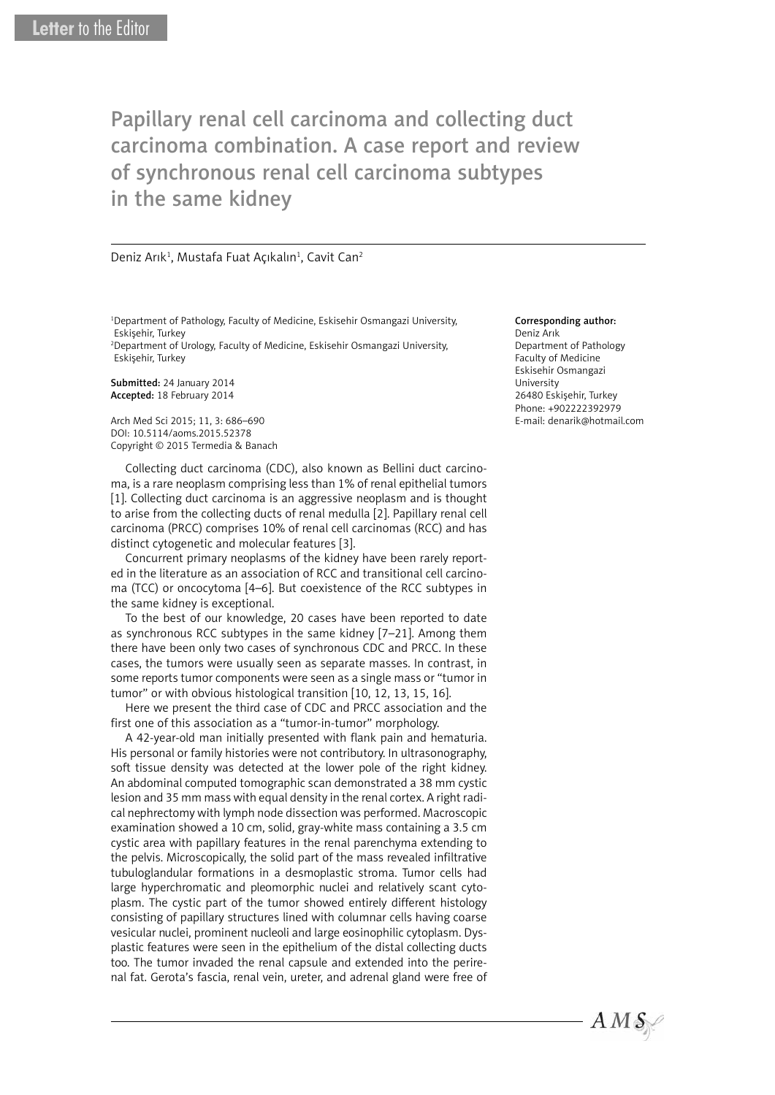Papillary renal cell carcinoma and collecting duct carcinoma combination. A case report and review of synchronous renal cell carcinoma subtypes in the same kidney

Deniz Arık<sup>1</sup>, Mustafa Fuat Açıkalın<sup>1</sup>, Cavit Can<sup>2</sup>

1 Department of Pathology, Faculty of Medicine, Eskisehir Osmangazi University, Eskişehir, Turkey

2 Department of Urology, Faculty of Medicine, Eskisehir Osmangazi University, Eskişehir, Turkey

Submitted: 24 January 2014 Accepted: 18 February 2014

Arch Med Sci 2015; 11, 3: 686–690 DOI: 10.5114/aoms.2015.52378 Copyright © 2015 Termedia & Banach

Collecting duct carcinoma (CDC), also known as Bellini duct carcinoma, is a rare neoplasm comprising less than 1% of renal epithelial tumors [1]. Collecting duct carcinoma is an aggressive neoplasm and is thought to arise from the collecting ducts of renal medulla [2]. Papillary renal cell carcinoma (PRCC) comprises 10% of renal cell carcinomas (RCC) and has distinct cytogenetic and molecular features [3].

Concurrent primary neoplasms of the kidney have been rarely reported in the literature as an association of RCC and transitional cell carcinoma (TCC) or oncocytoma [4–6]. But coexistence of the RCC subtypes in the same kidney is exceptional.

To the best of our knowledge, 20 cases have been reported to date as synchronous RCC subtypes in the same kidney [7–21]. Among them there have been only two cases of synchronous CDC and PRCC. In these cases, the tumors were usually seen as separate masses. In contrast, in some reports tumor components were seen as a single mass or "tumor in tumor" or with obvious histological transition [10, 12, 13, 15, 16].

Here we present the third case of CDC and PRCC association and the first one of this association as a "tumor-in-tumor" morphology.

A 42-year-old man initially presented with flank pain and hematuria. His personal or family histories were not contributory. In ultrasonography, soft tissue density was detected at the lower pole of the right kidney. An abdominal computed tomographic scan demonstrated a 38 mm cystic lesion and 35 mm mass with equal density in the renal cortex. A right radical nephrectomy with lymph node dissection was performed. Macroscopic examination showed a 10 cm, solid, gray-white mass containing a 3.5 cm cystic area with papillary features in the renal parenchyma extending to the pelvis. Microscopically, the solid part of the mass revealed infiltrative tubuloglandular formations in a desmoplastic stroma. Tumor cells had large hyperchromatic and pleomorphic nuclei and relatively scant cytoplasm. The cystic part of the tumor showed entirely different histology consisting of papillary structures lined with columnar cells having coarse vesicular nuclei, prominent nucleoli and large eosinophilic cytoplasm. Dysplastic features were seen in the epithelium of the distal collecting ducts too. The tumor invaded the renal capsule and extended into the perirenal fat. Gerota's fascia, renal vein, ureter, and adrenal gland were free of

## Corresponding author:

Deniz Arık Department of Pathology Faculty of Medicine Eskisehir Osmangazi University 26480 Eskişehir, Turkey Phone: +902222392979 E-mail: denarik@hotmail.com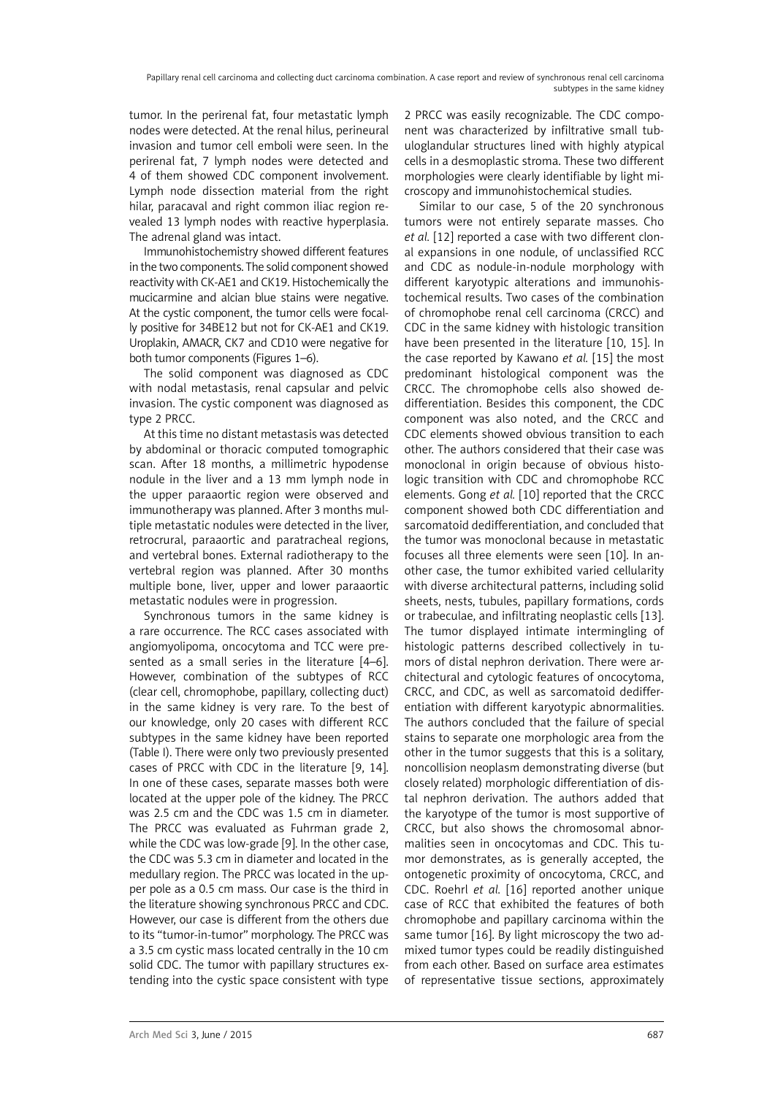tumor. In the perirenal fat, four metastatic lymph nodes were detected. At the renal hilus, perineural invasion and tumor cell emboli were seen. In the perirenal fat, 7 lymph nodes were detected and 4 of them showed CDC component involvement. Lymph node dissection material from the right hilar, paracaval and right common iliac region revealed 13 lymph nodes with reactive hyperplasia. The adrenal gland was intact.

Immunohistochemistry showed different features in the two components. The solid component showed reactivity with CK-AE1 and CK19. Histochemically the mucicarmine and alcian blue stains were negative. At the cystic component, the tumor cells were focally positive for 34BE12 but not for CK-AE1 and CK19. Uroplakin, AMACR, CK7 and CD10 were negative for both tumor components (Figures 1–6).

The solid component was diagnosed as CDC with nodal metastasis, renal capsular and pelvic invasion. The cystic component was diagnosed as type 2 PRCC.

At this time no distant metastasis was detected by abdominal or thoracic computed tomographic scan. After 18 months, a millimetric hypodense nodule in the liver and a 13 mm lymph node in the upper paraaortic region were observed and immunotherapy was planned. After 3 months multiple metastatic nodules were detected in the liver, retrocrural, paraaortic and paratracheal regions, and vertebral bones. External radiotherapy to the vertebral region was planned. After 30 months multiple bone, liver, upper and lower paraaortic metastatic nodules were in progression.

Synchronous tumors in the same kidney is a rare occurrence. The RCC cases associated with angiomyolipoma, oncocytoma and TCC were presented as a small series in the literature [4-6]. However, combination of the subtypes of RCC (clear cell, chromophobe, papillary, collecting duct) in the same kidney is very rare. To the best of our knowledge, only 20 cases with different RCC subtypes in the same kidney have been reported (Table I). There were only two previously presented cases of PRCC with CDC in the literature [9, 14]. In one of these cases, separate masses both were located at the upper pole of the kidney. The PRCC was 2.5 cm and the CDC was 1.5 cm in diameter. The PRCC was evaluated as Fuhrman grade 2, while the CDC was low-grade [9]. In the other case, the CDC was 5.3 cm in diameter and located in the medullary region. The PRCC was located in the upper pole as a 0.5 cm mass. Our case is the third in the literature showing synchronous PRCC and CDC. However, our case is different from the others due to its "tumor-in-tumor" morphology. The PRCC was a 3.5 cm cystic mass located centrally in the 10 cm solid CDC. The tumor with papillary structures extending into the cystic space consistent with type 2 PRCC was easily recognizable. The CDC component was characterized by infiltrative small tubuloglandular structures lined with highly atypical cells in a desmoplastic stroma. These two different morphologies were clearly identifiable by light microscopy and immunohistochemical studies.

Similar to our case, 5 of the 20 synchronous tumors were not entirely separate masses. Cho *et al.* [12] reported a case with two different clonal expansions in one nodule, of unclassified RCC and CDC as nodule-in-nodule morphology with different karyotypic alterations and immunohistochemical results. Two cases of the combination of chromophobe renal cell carcinoma (CRCC) and CDC in the same kidney with histologic transition have been presented in the literature [10, 15]. In the case reported by Kawano *et al.* [15] the most predominant histological component was the CRCC. The chromophobe cells also showed dedifferentiation. Besides this component, the CDC component was also noted, and the CRCC and CDC elements showed obvious transition to each other. The authors considered that their case was monoclonal in origin because of obvious histologic transition with CDC and chromophobe RCC elements. Gong *et al.* [10] reported that the CRCC component showed both CDC differentiation and sarcomatoid dedifferentiation, and concluded that the tumor was monoclonal because in metastatic focuses all three elements were seen [10]. In another case, the tumor exhibited varied cellularity with diverse architectural patterns, including solid sheets, nests, tubules, papillary formations, cords or trabeculae, and infiltrating neoplastic cells [13]. The tumor displayed intimate intermingling of histologic patterns described collectively in tumors of distal nephron derivation. There were architectural and cytologic features of oncocytoma, CRCC, and CDC, as well as sarcomatoid dedifferentiation with different karyotypic abnormalities. The authors concluded that the failure of special stains to separate one morphologic area from the other in the tumor suggests that this is a solitary, noncollision neoplasm demonstrating diverse (but closely related) morphologic differentiation of distal nephron derivation. The authors added that the karyotype of the tumor is most supportive of CRCC, but also shows the chromosomal abnormalities seen in oncocytomas and CDC. This tumor demonstrates, as is generally accepted, the ontogenetic proximity of oncocytoma, CRCC, and CDC. Roehrl *et al.* [16] reported another unique case of RCC that exhibited the features of both chromophobe and papillary carcinoma within the same tumor [16]. By light microscopy the two admixed tumor types could be readily distinguished from each other. Based on surface area estimates of representative tissue sections, approximately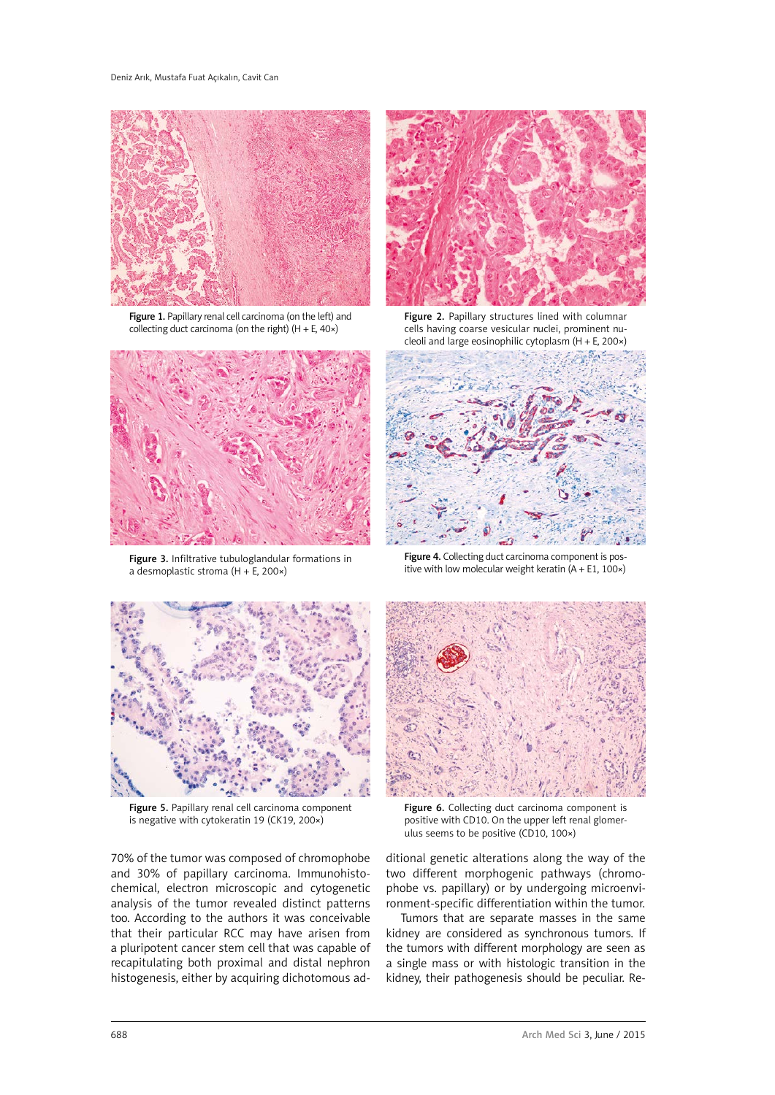

Figure 1. Papillary renal cell carcinoma (on the left) and collecting duct carcinoma (on the right)  $(H + E, 40x)$ 



Figure 3. Infiltrative tubuloglandular formations in a desmoplastic stroma (H + E, 200×)



Figure 2. Papillary structures lined with columnar cells having coarse vesicular nuclei, prominent nucleoli and large eosinophilic cytoplasm (H + E, 200×)



Figure 4. Collecting duct carcinoma component is positive with low molecular weight keratin  $(A + E1, 100x)$ 



Figure 5. Papillary renal cell carcinoma component is negative with cytokeratin 19 (CK19, 200×)

70% of the tumor was composed of chromophobe and 30% of papillary carcinoma. Immunohistochemical, electron microscopic and cytogenetic analysis of the tumor revealed distinct patterns too. According to the authors it was conceivable that their particular RCC may have arisen from a pluripotent cancer stem cell that was capable of recapitulating both proximal and distal nephron histogenesis, either by acquiring dichotomous ad-



Figure 6. Collecting duct carcinoma component is positive with CD10. On the upper left renal glomerulus seems to be positive (CD10, 100×)

ditional genetic alterations along the way of the two different morphogenic pathways (chromophobe vs. papillary) or by undergoing microenvironment-specific differentiation within the tumor.

Tumors that are separate masses in the same kidney are considered as synchronous tumors. If the tumors with different morphology are seen as a single mass or with histologic transition in the kidney, their pathogenesis should be peculiar. Re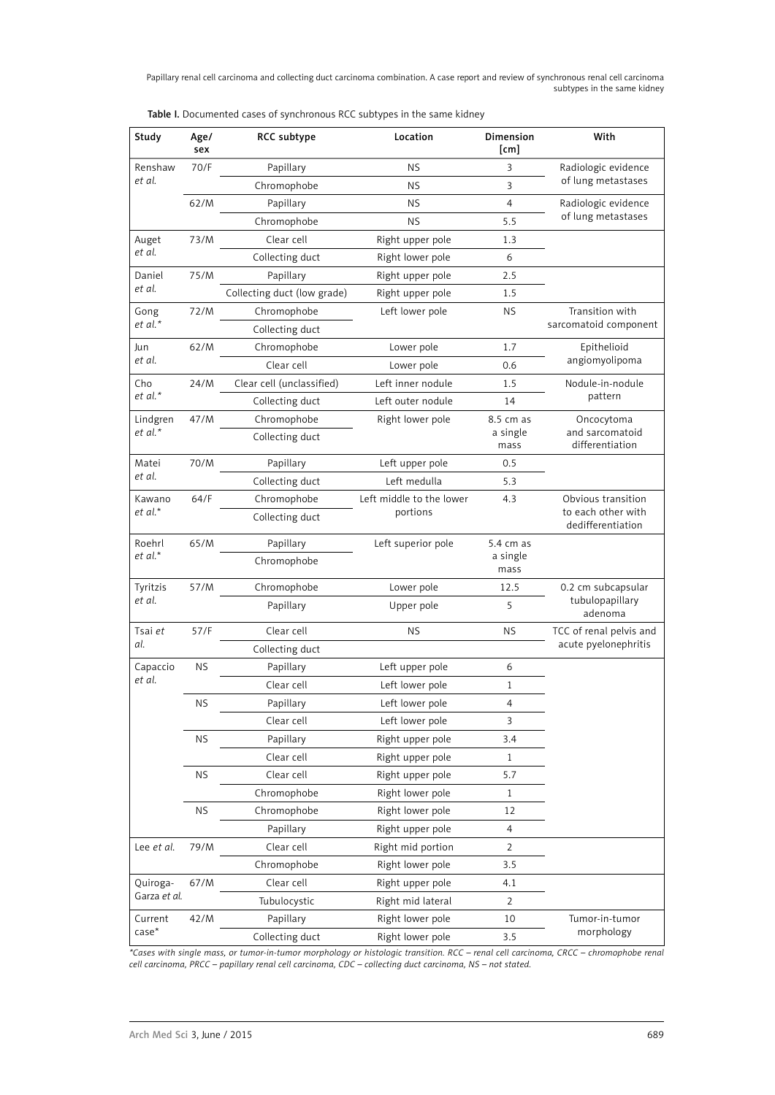Papillary renal cell carcinoma and collecting duct carcinoma combination. A case report and review of synchronous renal cell carcinoma subtypes in the same kidney

|  |  | Table I. Documented cases of synchronous RCC subtypes in the same kidney |
|--|--|--------------------------------------------------------------------------|
|--|--|--------------------------------------------------------------------------|

| Study               | Age/<br>sex | RCC subtype                 | Location                 | Dimension<br>$\lceil$ cm $\rceil$  | With                                    |
|---------------------|-------------|-----------------------------|--------------------------|------------------------------------|-----------------------------------------|
| Renshaw             | 70/F        | Papillary                   | <b>NS</b>                | 3                                  | Radiologic evidence                     |
| et al.              |             | Chromophobe                 | <b>NS</b>                | 3                                  | of lung metastases                      |
|                     | 62/M        | Papillary                   | <b>NS</b>                | $\overline{4}$                     | Radiologic evidence                     |
|                     |             | Chromophobe                 | <b>NS</b>                | 5.5                                | of lung metastases                      |
| Auget<br>et al.     | 73/M        | Clear cell                  | Right upper pole         | 1.3                                |                                         |
|                     |             | Collecting duct             | Right lower pole         | 6                                  |                                         |
| Daniel<br>et al.    | 75/M        | Papillary                   | Right upper pole         | 2.5                                |                                         |
|                     |             | Collecting duct (low grade) | Right upper pole         | 1.5                                |                                         |
| Gong<br>et al.*     | 72/M        | Chromophobe                 | Left lower pole          | <b>NS</b>                          | Transition with                         |
|                     |             | Collecting duct             |                          |                                    | sarcomatoid component                   |
| Jun<br>et al.       | 62/M        | Chromophobe                 | Lower pole               | 1.7                                | Epithelioid                             |
|                     |             | Clear cell                  | Lower pole               | 0.6                                | angiomyolipoma                          |
| Cho<br>et al.*      | 24/M        | Clear cell (unclassified)   | Left inner nodule        | 1.5                                | Nodule-in-nodule                        |
|                     |             | Collecting duct             | Left outer nodule        | 14                                 | pattern                                 |
| Lindgren<br>et al.* | 47/M        | Chromophobe                 | Right lower pole         | 8.5 cm as                          | Oncocytoma                              |
|                     |             | Collecting duct             | a single<br>mass         | and sarcomatoid<br>differentiation |                                         |
| Matei<br>et al.     | 70/M        | Papillary                   | Left upper pole          | 0.5                                |                                         |
|                     |             | Collecting duct             | Left medulla             | 5.3                                |                                         |
| Kawano<br>et al.*   | 64/F        | Chromophobe                 | Left middle to the lower | 4.3                                | Obvious transition                      |
|                     |             | Collecting duct             | portions                 |                                    | to each other with<br>dedifferentiation |
| Roehrl              | 65/M        | Papillary                   | Left superior pole       | 5.4 cm as                          |                                         |
| et al.*             |             | Chromophobe                 |                          | a single<br>mass                   |                                         |
| Tyritzis<br>et al.  | 57/M        | Chromophobe                 | Lower pole               | 12.5                               | 0.2 cm subcapsular                      |
|                     |             | Papillary                   | Upper pole               | 5                                  | tubulopapillary<br>adenoma              |
| Tsai et             | 57/F        | Clear cell                  | <b>NS</b>                | <b>NS</b>                          | TCC of renal pelvis and                 |
| al.                 |             | Collecting duct             |                          |                                    | acute pyelonephritis                    |
| Capaccio<br>et al.  | ΝS          | Papillary                   | Left upper pole          | 6                                  |                                         |
|                     |             | Clear cell                  | Left lower pole          | $\mathbf{1}$                       |                                         |
|                     | ΝS          | Papillary                   | Left lower pole          | 4                                  |                                         |
|                     |             | Clear cell                  | Left lower pole          | 3                                  |                                         |
|                     | <b>NS</b>   | Papillary                   | Right upper pole         | 3.4                                |                                         |
|                     |             | Clear cell                  | Right upper pole         | $\mathbf{1}$                       |                                         |
|                     | <b>NS</b>   | Clear cell                  | Right upper pole         | 5.7                                |                                         |
|                     |             | Chromophobe                 | Right lower pole         | $\mathbf{1}$                       |                                         |
|                     | <b>NS</b>   | Chromophobe                 | Right lower pole         | 12                                 |                                         |
|                     |             | Papillary                   | Right upper pole         | 4                                  |                                         |
| Lee et al.          | 79/M        | Clear cell                  | Right mid portion        | $\overline{2}$                     |                                         |
|                     |             | Chromophobe                 | Right lower pole         | 3.5                                |                                         |
| Quiroga-            | 67/M        | Clear cell                  | Right upper pole         | 4.1                                |                                         |
| Garza et al.        |             | Tubulocystic                | Right mid lateral        | $\overline{2}$                     |                                         |
| Current             | 42/M        | Papillary                   | Right lower pole         | 10                                 | Tumor-in-tumor                          |
| $case*$             |             | Collecting duct             | Right lower pole         | 3.5                                | morphology                              |

*\*Cases with single mass, or tumor-in-tumor morphology or histologic transition. RCC – renal cell carcinoma, CRCC – chromophobe renal cell carcinoma, PRCC – papillary renal cell carcinoma, CDC – collecting duct carcinoma, NS – not stated.*